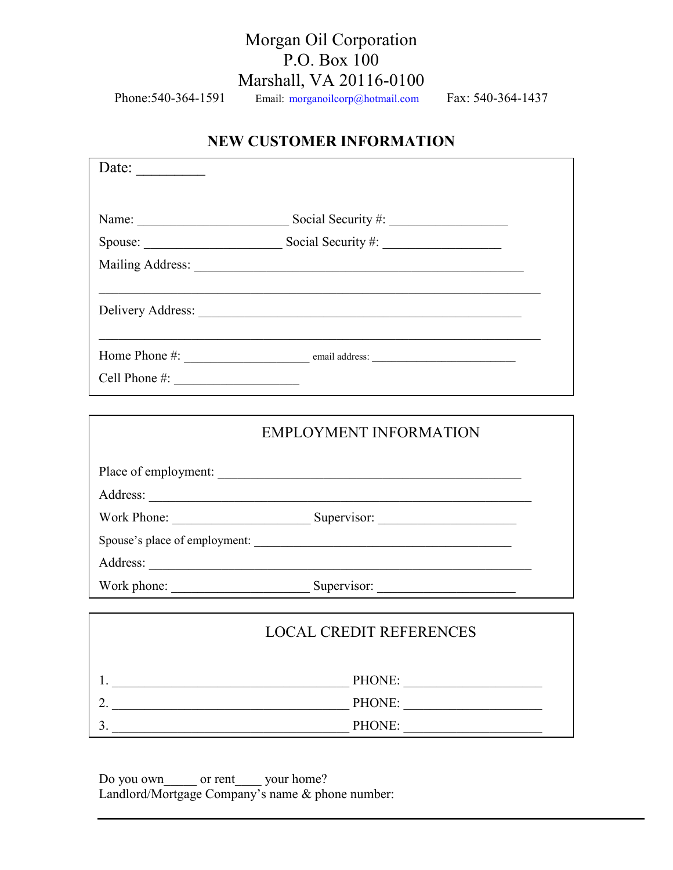# Morgan Oil Corporation P.O. Box 100 Marshall, VA 20116-0100

Phone: 540-364-1591 Email: morganoilcorp@hotmail.com Fax: 540-364-1437

# **NEW CUSTOMER INFORMATION**

| Date:             |                                    |  |
|-------------------|------------------------------------|--|
|                   |                                    |  |
|                   |                                    |  |
|                   | Spouse: Spouse: Social Security #: |  |
|                   |                                    |  |
|                   |                                    |  |
|                   |                                    |  |
| Cell Phone $\#$ : |                                    |  |
|                   | <b>EMPLOYMENT INFORMATION</b>      |  |
|                   |                                    |  |
|                   |                                    |  |
|                   |                                    |  |
|                   | Spouse's place of employment:      |  |
|                   |                                    |  |
| Work phone:       | Supervisor:                        |  |

| <b>LOCAL CREDIT REFERENCES</b> |
|--------------------------------|
| PHONE:                         |
| PHONE:                         |
| PHONE:                         |

Do you own or rent your home? Landlord/Mortgage Company's name & phone number: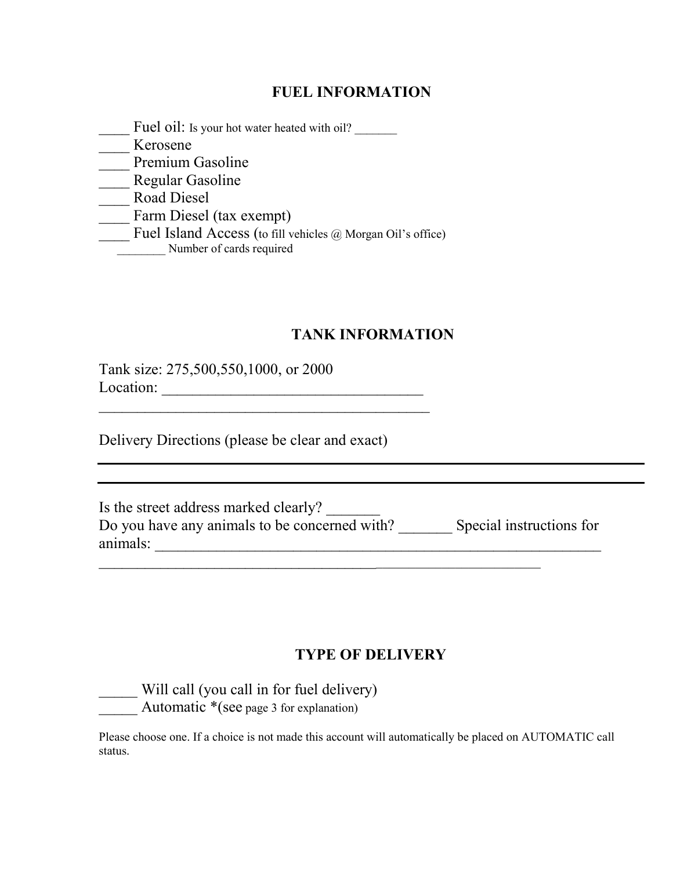#### **FUEL INFORMATION**

Fuel oil: Is your hot water heated with oil? \_\_\_\_ Kerosene Premium Gasoline \_\_\_\_ Regular Gasoline \_\_\_\_ Road Diesel \_\_\_\_ Farm Diesel (tax exempt) \_\_\_\_ Fuel Island Access (to fill vehicles @ Morgan Oil's office) Number of cards required

# **TANK INFORMATION**

Tank size: 275,500,550,1000, or 2000 Location: \_\_\_\_\_\_\_\_\_\_\_\_\_\_\_\_\_\_\_\_\_\_\_\_\_\_\_\_\_\_\_\_\_\_

Delivery Directions (please be clear and exact)

 $\_$  . The contribution of the contribution of  $\mathcal{L}_\mathcal{A}$ 

| Is the street address marked clearly?         |                          |
|-----------------------------------------------|--------------------------|
| Do you have any animals to be concerned with? | Special instructions for |
| animals:                                      |                          |

 $\overline{\phantom{a}}$  , and the contribution of the contribution of the contribution of the contribution of the contribution of the contribution of the contribution of the contribution of the contribution of the contribution of the

# **TYPE OF DELIVERY**

\_\_\_\_\_ Will call (you call in for fuel delivery) Automatic  $*(\text{see page 3 for explanation})$ 

Please choose one. If a choice is not made this account will automatically be placed on AUTOMATIC call status.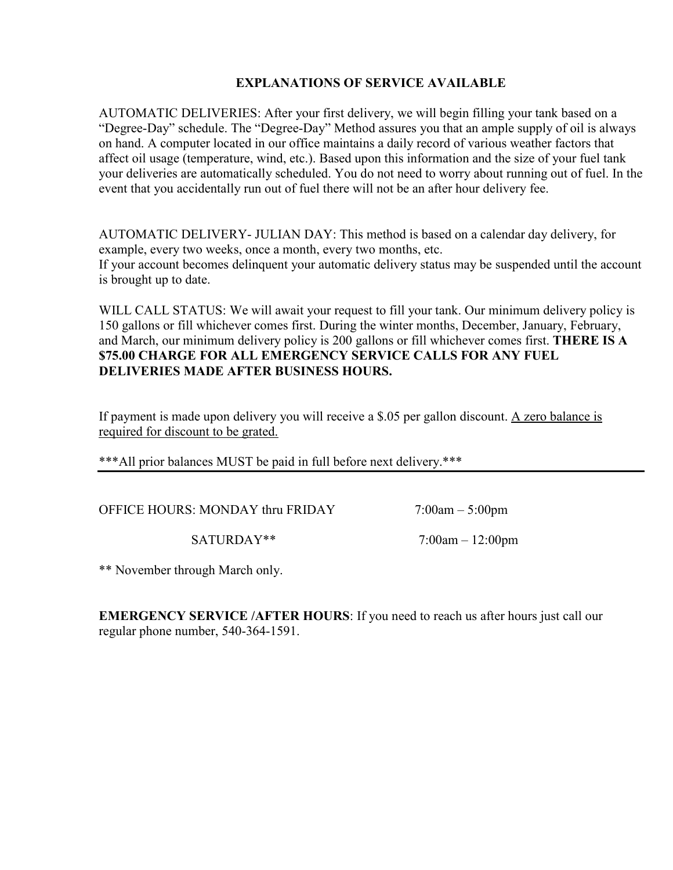#### **EXPLAATIOS OF SERVICE AVAILABLE**

AUTOMATIC DELIVERIES: After your first delivery, we will begin filling your tank based on a "Degree-Day" schedule. The "Degree-Day" Method assures you that an ample supply of oil is always on hand. A computer located in our office maintains a daily record of various weather factors that affect oil usage (temperature, wind, etc.). Based upon this information and the size of your fuel tank your deliveries are automatically scheduled. You do not need to worry about running out of fuel. In the event that you accidentally run out of fuel there will not be an after hour delivery fee.

AUTOMATIC DELIVERY- JULIAN DAY: This method is based on a calendar day delivery, for example, every two weeks, once a month, every two months, etc. If your account becomes delinquent your automatic delivery status may be suspended until the account is brought up to date.

WILL CALL STATUS: We will await your request to fill your tank. Our minimum delivery policy is 150 gallons or fill whichever comes first. During the winter months, December, January, February, and March, our minimum delivery policy is 200 gallons or fill whichever comes first. **THERE IS A \$75.00 CHARGE FOR ALL EMERGENCY SERVICE CALLS FOR ANY FUEL DELIVERIES MADE AFTER BUSINESS HOURS.** 

If payment is made upon delivery you will receive a \$.05 per gallon discount. A zero balance is required for discount to be grated.

\*\*\*All prior balances MUST be paid in full before next delivery.\*\*\*

OFFICE HOURS: MONDAY thru FRIDAY 7:00am – 5:00pm

SATURDAY\*\* 7:00am – 12:00pm

\*\* November through March only.

**EMERGENCY SERVICE /AFTER HOURS:** If you need to reach us after hours just call our regular phone number, 540-364-1591.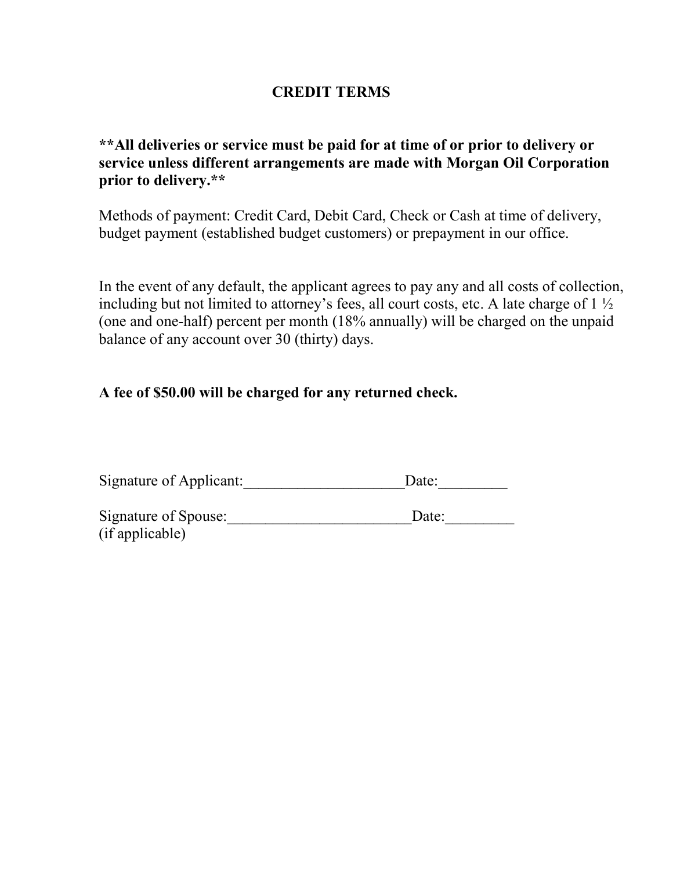### **CREDIT TERMS**

# **\*\*All deliveries or service must be paid for at time of or prior to delivery or service unless different arrangements are made with Morgan Oil Corporation prior to delivery.\*\***

Methods of payment: Credit Card, Debit Card, Check or Cash at time of delivery, budget payment (established budget customers) or prepayment in our office.

In the event of any default, the applicant agrees to pay any and all costs of collection, including but not limited to attorney's fees, all court costs, etc. A late charge of  $1\frac{1}{2}$ (one and one-half) percent per month (18% annually) will be charged on the unpaid balance of any account over 30 (thirty) days.

### **A fee of \$50.00 will be charged for any returned check.**

| Signature of Applicant: | Date: |  |
|-------------------------|-------|--|
| Signature of Spouse:    | Date: |  |
| (if applicable)         |       |  |